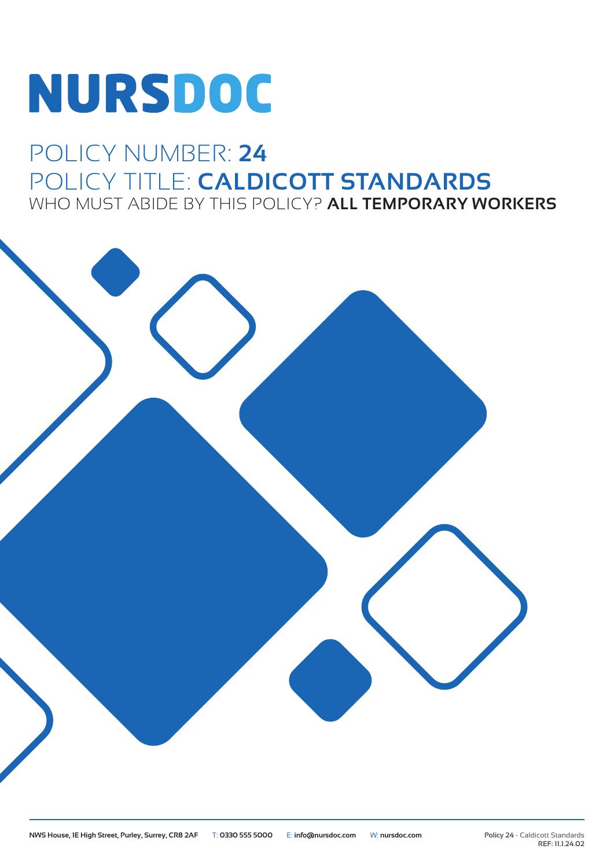# NURSDOC

### POLICY NUMBER: **24** POLICY TITLE: **CALDICOTT STANDARDS** WHO MUST ABIDE BY THIS POLICY? **ALL TEMPORARY WORKERS**